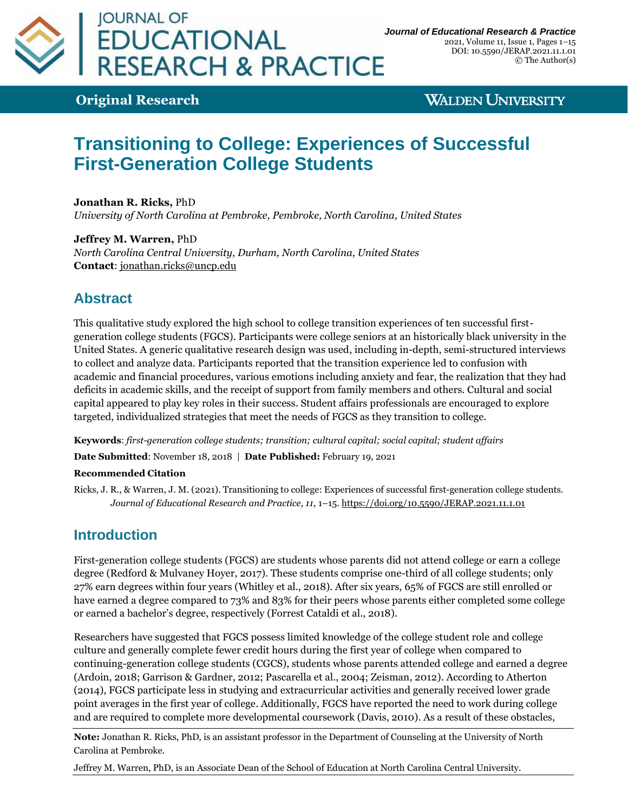

**Original Research**

**WALDEN UNIVERSITY** 

# **Transitioning to College: Experiences of Successful First-Generation College Students**

**Jonathan R. Ricks,** PhD *University of North Carolina at Pembroke, Pembroke, North Carolina, United States*

**Jeffrey M. Warren,** PhD *North Carolina Central University, Durham, North Carolina, United States* **Contact**: [jonathan.ricks@uncp.edu](mailto:jonathan.ricks@uncp.edu)

# **Abstract**

This qualitative study explored the high school to college transition experiences of ten successful firstgeneration college students (FGCS). Participants were college seniors at an historically black university in the United States. A generic qualitative research design was used, including in-depth, semi-structured interviews to collect and analyze data. Participants reported that the transition experience led to confusion with academic and financial procedures, various emotions including anxiety and fear, the realization that they had deficits in academic skills, and the receipt of support from family members and others. Cultural and social capital appeared to play key roles in their success. Student affairs professionals are encouraged to explore targeted, individualized strategies that meet the needs of FGCS as they transition to college.

**Keywords**: *first-generation college students; transition; cultural capital; social capital; student affairs*

**Date Submitted**: November 18, 2018 | **Date Published:** February 19, 2021

### **Recommended Citation**

Ricks, J. R., & Warren, J. M. (2021). Transitioning to college: Experiences of successful first-generation college students. *Journal of Educational Research and Practice, 11*, 1–15[. https://doi.org/10.5590/JERAP.2021.11.1.01](https://doi.org/10.5590/JERAP.2021.11.1.01)

### **Introduction**

First-generation college students (FGCS) are students whose parents did not attend college or earn a college degree (Redford & Mulvaney Hoyer, 2017). These students comprise one-third of all college students; only 27% earn degrees within four years (Whitley et al., 2018). After six years, 65% of FGCS are still enrolled or have earned a degree compared to 73% and 83% for their peers whose parents either completed some college or earned a bachelor's degree, respectively (Forrest Cataldi et al., 2018).

Researchers have suggested that FGCS possess limited knowledge of the college student role and college culture and generally complete fewer credit hours during the first year of college when compared to continuing-generation college students (CGCS), students whose parents attended college and earned a degree (Ardoin, 2018; Garrison & Gardner, 2012; Pascarella et al., 2004; Zeisman, 2012). According to Atherton (2014), FGCS participate less in studying and extracurricular activities and generally received lower grade point averages in the first year of college. Additionally, FGCS have reported the need to work during college and are required to complete more developmental coursework (Davis, 2010). As a result of these obstacles,

**Note:** Jonathan R. Ricks, PhD, is an assistant professor in the Department of Counseling at the University of North Carolina at Pembroke.

Jeffrey M. Warren, PhD, is an Associate Dean of the School of Education at North Carolina Central University.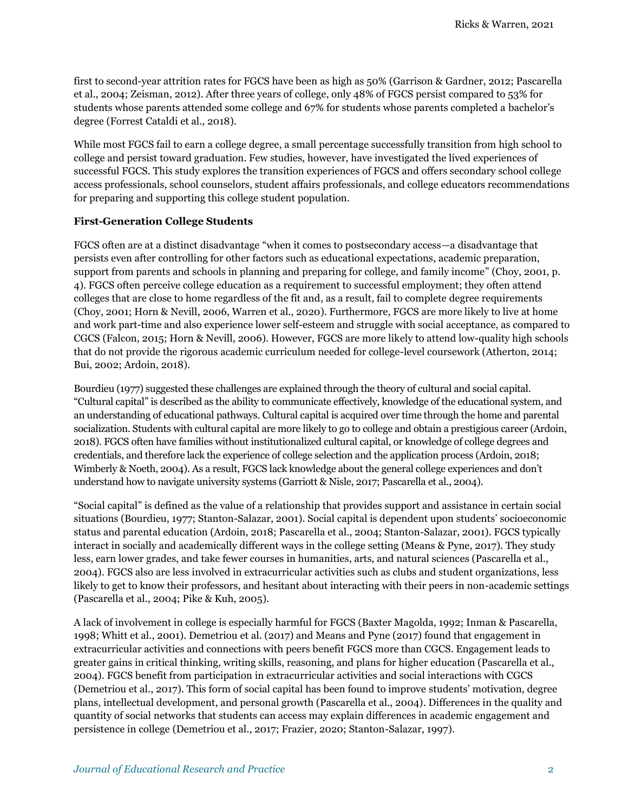first to second-year attrition rates for FGCS have been as high as 50% (Garrison & Gardner, 2012; Pascarella et al., 2004; Zeisman, 2012). After three years of college, only 48% of FGCS persist compared to 53% for students whose parents attended some college and 67% for students whose parents completed a bachelor's degree (Forrest Cataldi et al., 2018).

While most FGCS fail to earn a college degree, a small percentage successfully transition from high school to college and persist toward graduation. Few studies, however, have investigated the lived experiences of successful FGCS. This study explores the transition experiences of FGCS and offers secondary school college access professionals, school counselors, student affairs professionals, and college educators recommendations for preparing and supporting this college student population.

### **First-Generation College Students**

FGCS often are at a distinct disadvantage "when it comes to postsecondary access—a disadvantage that persists even after controlling for other factors such as educational expectations, academic preparation, support from parents and schools in planning and preparing for college, and family income" (Choy, 2001, p. 4). FGCS often perceive college education as a requirement to successful employment; they often attend colleges that are close to home regardless of the fit and, as a result, fail to complete degree requirements (Choy, 2001; Horn & Nevill, 2006, Warren et al., 2020). Furthermore, FGCS are more likely to live at home and work part-time and also experience lower self-esteem and struggle with social acceptance, as compared to CGCS (Falcon, 2015; Horn & Nevill, 2006). However, FGCS are more likely to attend low-quality high schools that do not provide the rigorous academic curriculum needed for college-level coursework (Atherton, 2014; Bui, 2002; Ardoin, 2018).

Bourdieu (1977) suggested these challenges are explained through the theory of cultural and social capital. "Cultural capital" is described as the ability to communicate effectively, knowledge of the educational system, and an understanding of educational pathways. Cultural capital is acquired over time through the home and parental socialization. Students with cultural capital are more likely to go to college and obtain a prestigious career (Ardoin, 2018). FGCS often have families without institutionalized cultural capital, or knowledge of college degrees and credentials, and therefore lack the experience of college selection and the application process (Ardoin, 2018; Wimberly & Noeth, 2004). As a result, FGCS lack knowledge about the general college experiences and don't understand how to navigate university systems (Garriott & Nisle, 2017; Pascarella et al., 2004).

"Social capital" is defined as the value of a relationship that provides support and assistance in certain social situations (Bourdieu, 1977; Stanton-Salazar, 2001). Social capital is dependent upon students' socioeconomic status and parental education (Ardoin, 2018; Pascarella et al., 2004; Stanton-Salazar, 2001). FGCS typically interact in socially and academically different ways in the college setting (Means & Pyne, 2017). They study less, earn lower grades, and take fewer courses in humanities, arts, and natural sciences (Pascarella et al., 2004). FGCS also are less involved in extracurricular activities such as clubs and student organizations, less likely to get to know their professors, and hesitant about interacting with their peers in non-academic settings (Pascarella et al., 2004; Pike & Kuh, 2005).

A lack of involvement in college is especially harmful for FGCS (Baxter Magolda, 1992; Inman & Pascarella, 1998; Whitt et al., 2001). Demetriou et al. (2017) and Means and Pyne (2017) found that engagement in extracurricular activities and connections with peers benefit FGCS more than CGCS. Engagement leads to greater gains in critical thinking, writing skills, reasoning, and plans for higher education (Pascarella et al., 2004). FGCS benefit from participation in extracurricular activities and social interactions with CGCS (Demetriou et al., 2017). This form of social capital has been found to improve students' motivation, degree plans, intellectual development, and personal growth (Pascarella et al., 2004). Differences in the quality and quantity of social networks that students can access may explain differences in academic engagement and persistence in college (Demetriou et al., 2017; Frazier, 2020; Stanton-Salazar, 1997).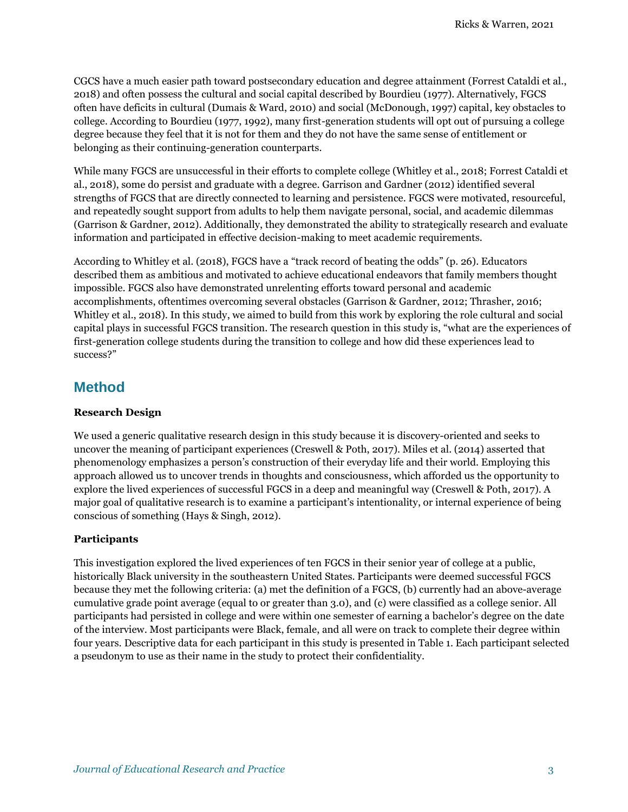CGCS have a much easier path toward postsecondary education and degree attainment (Forrest Cataldi et al., 2018) and often possess the cultural and social capital described by Bourdieu (1977). Alternatively, FGCS often have deficits in cultural (Dumais & Ward, 2010) and social (McDonough, 1997) capital, key obstacles to college. According to Bourdieu (1977, 1992), many first-generation students will opt out of pursuing a college degree because they feel that it is not for them and they do not have the same sense of entitlement or belonging as their continuing-generation counterparts.

While many FGCS are unsuccessful in their efforts to complete college (Whitley et al., 2018; Forrest Cataldi et al., 2018), some do persist and graduate with a degree. Garrison and Gardner (2012) identified several strengths of FGCS that are directly connected to learning and persistence. FGCS were motivated, resourceful, and repeatedly sought support from adults to help them navigate personal, social, and academic dilemmas (Garrison & Gardner, 2012). Additionally, they demonstrated the ability to strategically research and evaluate information and participated in effective decision-making to meet academic requirements.

According to Whitley et al. (2018), FGCS have a "track record of beating the odds" (p. 26). Educators described them as ambitious and motivated to achieve educational endeavors that family members thought impossible. FGCS also have demonstrated unrelenting efforts toward personal and academic accomplishments, oftentimes overcoming several obstacles (Garrison & Gardner, 2012; Thrasher, 2016; Whitley et al., 2018). In this study, we aimed to build from this work by exploring the role cultural and social capital plays in successful FGCS transition. The research question in this study is, "what are the experiences of first-generation college students during the transition to college and how did these experiences lead to success?"

### **Method**

### **Research Design**

We used a generic qualitative research design in this study because it is discovery-oriented and seeks to uncover the meaning of participant experiences (Creswell & Poth, 2017). Miles et al. (2014) asserted that phenomenology emphasizes a person's construction of their everyday life and their world. Employing this approach allowed us to uncover trends in thoughts and consciousness, which afforded us the opportunity to explore the lived experiences of successful FGCS in a deep and meaningful way (Creswell & Poth, 2017). A major goal of qualitative research is to examine a participant's intentionality, or internal experience of being conscious of something (Hays & Singh, 2012).

### **Participants**

This investigation explored the lived experiences of ten FGCS in their senior year of college at a public, historically Black university in the southeastern United States. Participants were deemed successful FGCS because they met the following criteria: (a) met the definition of a FGCS, (b) currently had an above-average cumulative grade point average (equal to or greater than 3.0), and (c) were classified as a college senior. All participants had persisted in college and were within one semester of earning a bachelor's degree on the date of the interview. Most participants were Black, female, and all were on track to complete their degree within four years. Descriptive data for each participant in this study is presented in Table 1. Each participant selected a pseudonym to use as their name in the study to protect their confidentiality.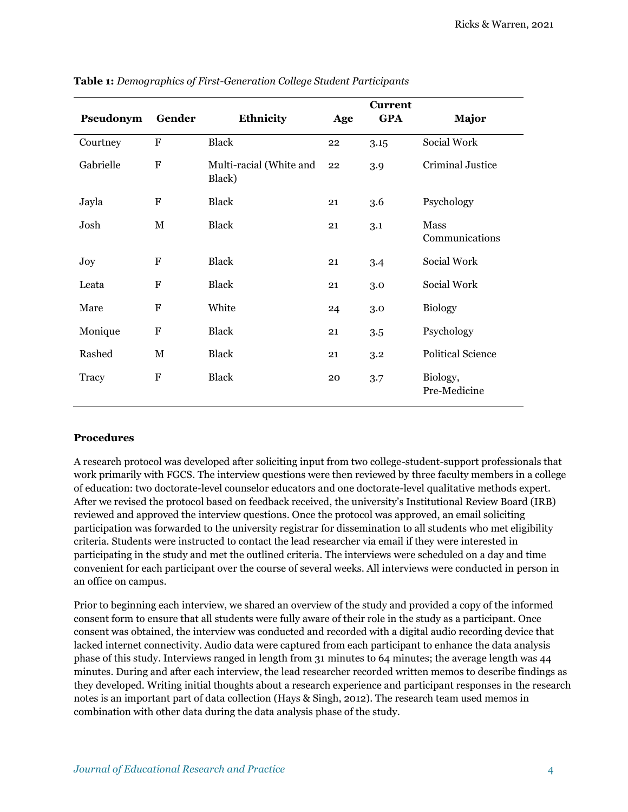| Pseudonym | Gender       | Ethnicity                         | Age | <b>Current</b><br><b>GPA</b> | <b>Major</b>             |
|-----------|--------------|-----------------------------------|-----|------------------------------|--------------------------|
| Courtney  | ${\bf F}$    | <b>Black</b>                      | 22  | 3.15                         | Social Work              |
| Gabrielle | F            | Multi-racial (White and<br>Black) | 22  | 3.9                          | Criminal Justice         |
| Jayla     | ${\bf F}$    | <b>Black</b>                      | 21  | 3.6                          | Psychology               |
| Josh      | М            | <b>Black</b>                      | 21  | 3.1                          | Mass<br>Communications   |
| Joy       | F            | <b>Black</b>                      | 21  | 3.4                          | Social Work              |
| Leata     | $\mathbf{F}$ | <b>Black</b>                      | 21  | 3.0                          | Social Work              |
| Mare      | F            | White                             | 24  | 3.0                          | <b>Biology</b>           |
| Monique   | $\mathbf F$  | <b>Black</b>                      | 21  | 3.5                          | Psychology               |
| Rashed    | М            | <b>Black</b>                      | 21  | 3.2                          | <b>Political Science</b> |
| Tracy     | ${\bf F}$    | <b>Black</b>                      | 20  | $3.7\,$                      | Biology,<br>Pre-Medicine |

**Table 1:** *Demographics of First-Generation College Student Participants*

#### **Procedures**

A research protocol was developed after soliciting input from two college-student-support professionals that work primarily with FGCS. The interview questions were then reviewed by three faculty members in a college of education: two doctorate-level counselor educators and one doctorate-level qualitative methods expert. After we revised the protocol based on feedback received, the university's Institutional Review Board (IRB) reviewed and approved the interview questions. Once the protocol was approved, an email soliciting participation was forwarded to the university registrar for dissemination to all students who met eligibility criteria. Students were instructed to contact the lead researcher via email if they were interested in participating in the study and met the outlined criteria. The interviews were scheduled on a day and time convenient for each participant over the course of several weeks. All interviews were conducted in person in an office on campus.

Prior to beginning each interview, we shared an overview of the study and provided a copy of the informed consent form to ensure that all students were fully aware of their role in the study as a participant. Once consent was obtained, the interview was conducted and recorded with a digital audio recording device that lacked internet connectivity. Audio data were captured from each participant to enhance the data analysis phase of this study. Interviews ranged in length from 31 minutes to 64 minutes; the average length was 44 minutes. During and after each interview, the lead researcher recorded written memos to describe findings as they developed. Writing initial thoughts about a research experience and participant responses in the research notes is an important part of data collection (Hays & Singh, 2012). The research team used memos in combination with other data during the data analysis phase of the study.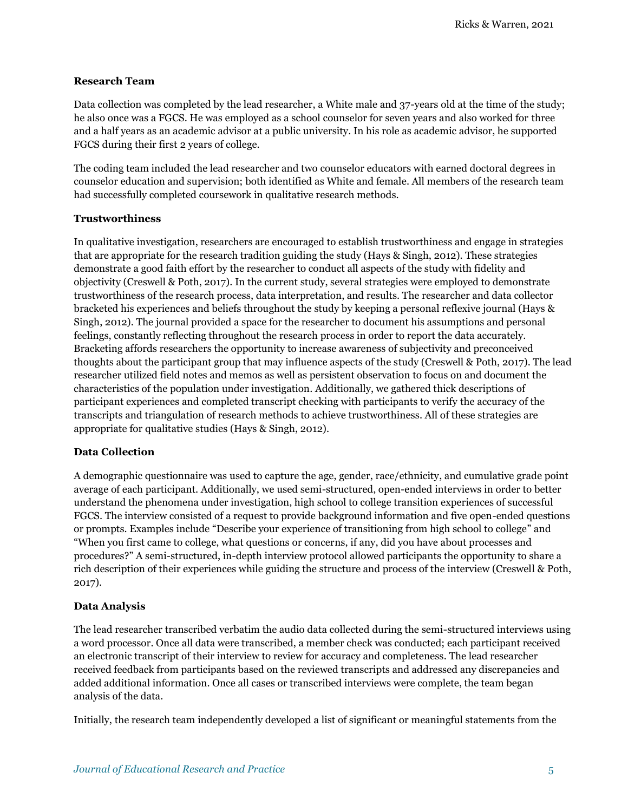#### **Research Team**

Data collection was completed by the lead researcher, a White male and 37-years old at the time of the study; he also once was a FGCS. He was employed as a school counselor for seven years and also worked for three and a half years as an academic advisor at a public university. In his role as academic advisor, he supported FGCS during their first 2 years of college.

The coding team included the lead researcher and two counselor educators with earned doctoral degrees in counselor education and supervision; both identified as White and female. All members of the research team had successfully completed coursework in qualitative research methods.

#### **Trustworthiness**

In qualitative investigation, researchers are encouraged to establish trustworthiness and engage in strategies that are appropriate for the research tradition guiding the study (Hays & Singh, 2012). These strategies demonstrate a good faith effort by the researcher to conduct all aspects of the study with fidelity and objectivity (Creswell & Poth, 2017). In the current study, several strategies were employed to demonstrate trustworthiness of the research process, data interpretation, and results. The researcher and data collector bracketed his experiences and beliefs throughout the study by keeping a personal reflexive journal (Hays & Singh, 2012). The journal provided a space for the researcher to document his assumptions and personal feelings, constantly reflecting throughout the research process in order to report the data accurately. Bracketing affords researchers the opportunity to increase awareness of subjectivity and preconceived thoughts about the participant group that may influence aspects of the study (Creswell & Poth, 2017). The lead researcher utilized field notes and memos as well as persistent observation to focus on and document the characteristics of the population under investigation. Additionally, we gathered thick descriptions of participant experiences and completed transcript checking with participants to verify the accuracy of the transcripts and triangulation of research methods to achieve trustworthiness. All of these strategies are appropriate for qualitative studies (Hays & Singh, 2012).

### **Data Collection**

A demographic questionnaire was used to capture the age, gender, race/ethnicity, and cumulative grade point average of each participant. Additionally, we used semi-structured, open-ended interviews in order to better understand the phenomena under investigation, high school to college transition experiences of successful FGCS. The interview consisted of a request to provide background information and five open-ended questions or prompts. Examples include "Describe your experience of transitioning from high school to college" and "When you first came to college, what questions or concerns, if any, did you have about processes and procedures?" A semi-structured, in-depth interview protocol allowed participants the opportunity to share a rich description of their experiences while guiding the structure and process of the interview (Creswell & Poth, 2017).

### **Data Analysis**

The lead researcher transcribed verbatim the audio data collected during the semi-structured interviews using a word processor. Once all data were transcribed, a member check was conducted; each participant received an electronic transcript of their interview to review for accuracy and completeness. The lead researcher received feedback from participants based on the reviewed transcripts and addressed any discrepancies and added additional information. Once all cases or transcribed interviews were complete, the team began analysis of the data.

Initially, the research team independently developed a list of significant or meaningful statements from the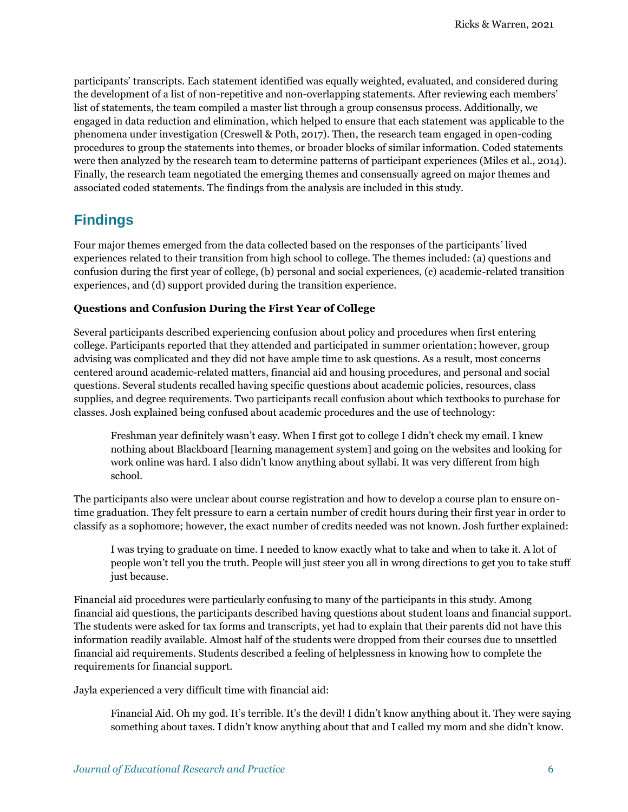participants' transcripts. Each statement identified was equally weighted, evaluated, and considered during the development of a list of non-repetitive and non-overlapping statements. After reviewing each members' list of statements, the team compiled a master list through a group consensus process. Additionally, we engaged in data reduction and elimination, which helped to ensure that each statement was applicable to the phenomena under investigation (Creswell & Poth, 2017). Then, the research team engaged in open-coding procedures to group the statements into themes, or broader blocks of similar information. Coded statements were then analyzed by the research team to determine patterns of participant experiences (Miles et al., 2014). Finally, the research team negotiated the emerging themes and consensually agreed on major themes and associated coded statements. The findings from the analysis are included in this study.

# **Findings**

Four major themes emerged from the data collected based on the responses of the participants' lived experiences related to their transition from high school to college. The themes included: (a) questions and confusion during the first year of college, (b) personal and social experiences, (c) academic-related transition experiences, and (d) support provided during the transition experience.

### **Questions and Confusion During the First Year of College**

Several participants described experiencing confusion about policy and procedures when first entering college. Participants reported that they attended and participated in summer orientation; however, group advising was complicated and they did not have ample time to ask questions. As a result, most concerns centered around academic-related matters, financial aid and housing procedures, and personal and social questions. Several students recalled having specific questions about academic policies, resources, class supplies, and degree requirements. Two participants recall confusion about which textbooks to purchase for classes. Josh explained being confused about academic procedures and the use of technology:

Freshman year definitely wasn't easy. When I first got to college I didn't check my email. I knew nothing about Blackboard [learning management system] and going on the websites and looking for work online was hard. I also didn't know anything about syllabi. It was very different from high school.

The participants also were unclear about course registration and how to develop a course plan to ensure ontime graduation. They felt pressure to earn a certain number of credit hours during their first year in order to classify as a sophomore; however, the exact number of credits needed was not known. Josh further explained:

I was trying to graduate on time. I needed to know exactly what to take and when to take it. A lot of people won't tell you the truth. People will just steer you all in wrong directions to get you to take stuff just because.

Financial aid procedures were particularly confusing to many of the participants in this study. Among financial aid questions, the participants described having questions about student loans and financial support. The students were asked for tax forms and transcripts, yet had to explain that their parents did not have this information readily available. Almost half of the students were dropped from their courses due to unsettled financial aid requirements. Students described a feeling of helplessness in knowing how to complete the requirements for financial support.

Jayla experienced a very difficult time with financial aid:

Financial Aid. Oh my god. It's terrible. It's the devil! I didn't know anything about it. They were saying something about taxes. I didn't know anything about that and I called my mom and she didn't know.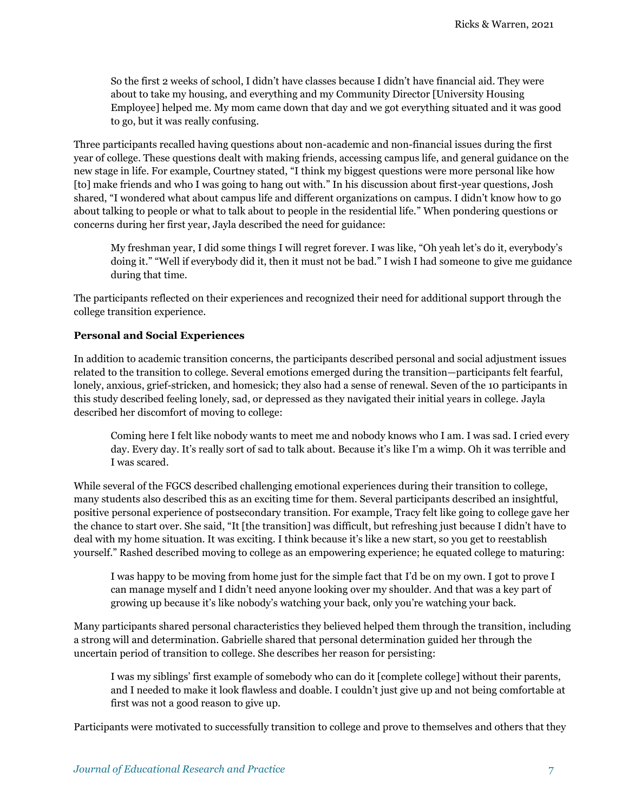So the first 2 weeks of school, I didn't have classes because I didn't have financial aid. They were about to take my housing, and everything and my Community Director [University Housing Employee] helped me. My mom came down that day and we got everything situated and it was good to go, but it was really confusing.

Three participants recalled having questions about non-academic and non-financial issues during the first year of college. These questions dealt with making friends, accessing campus life, and general guidance on the new stage in life. For example, Courtney stated, "I think my biggest questions were more personal like how [to] make friends and who I was going to hang out with." In his discussion about first-year questions, Josh shared, "I wondered what about campus life and different organizations on campus. I didn't know how to go about talking to people or what to talk about to people in the residential life." When pondering questions or concerns during her first year, Jayla described the need for guidance:

My freshman year, I did some things I will regret forever. I was like, "Oh yeah let's do it, everybody's doing it." "Well if everybody did it, then it must not be bad." I wish I had someone to give me guidance during that time.

The participants reflected on their experiences and recognized their need for additional support through the college transition experience.

### **Personal and Social Experiences**

In addition to academic transition concerns, the participants described personal and social adjustment issues related to the transition to college. Several emotions emerged during the transition—participants felt fearful, lonely, anxious, grief-stricken, and homesick; they also had a sense of renewal. Seven of the 10 participants in this study described feeling lonely, sad, or depressed as they navigated their initial years in college. Jayla described her discomfort of moving to college:

Coming here I felt like nobody wants to meet me and nobody knows who I am. I was sad. I cried every day. Every day. It's really sort of sad to talk about. Because it's like I'm a wimp. Oh it was terrible and I was scared.

While several of the FGCS described challenging emotional experiences during their transition to college, many students also described this as an exciting time for them. Several participants described an insightful, positive personal experience of postsecondary transition. For example, Tracy felt like going to college gave her the chance to start over. She said, "It [the transition] was difficult, but refreshing just because I didn't have to deal with my home situation. It was exciting. I think because it's like a new start, so you get to reestablish yourself." Rashed described moving to college as an empowering experience; he equated college to maturing:

I was happy to be moving from home just for the simple fact that I'd be on my own. I got to prove I can manage myself and I didn't need anyone looking over my shoulder. And that was a key part of growing up because it's like nobody's watching your back, only you're watching your back.

Many participants shared personal characteristics they believed helped them through the transition, including a strong will and determination. Gabrielle shared that personal determination guided her through the uncertain period of transition to college. She describes her reason for persisting:

I was my siblings' first example of somebody who can do it [complete college] without their parents, and I needed to make it look flawless and doable. I couldn't just give up and not being comfortable at first was not a good reason to give up.

Participants were motivated to successfully transition to college and prove to themselves and others that they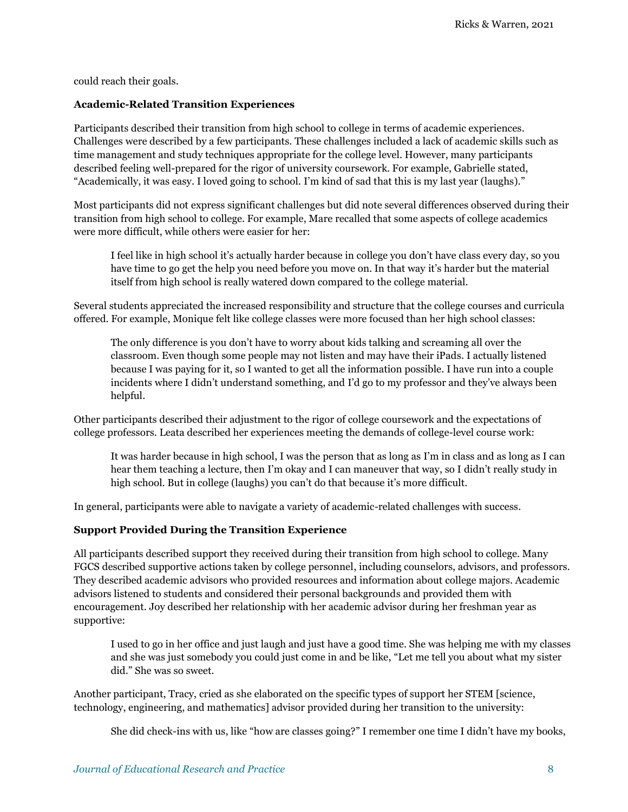could reach their goals.

### **Academic-Related Transition Experiences**

Participants described their transition from high school to college in terms of academic experiences. Challenges were described by a few participants. These challenges included a lack of academic skills such as time management and study techniques appropriate for the college level. However, many participants described feeling well-prepared for the rigor of university coursework. For example, Gabrielle stated, "Academically, it was easy. I loved going to school. I'm kind of sad that this is my last year (laughs)."

Most participants did not express significant challenges but did note several differences observed during their transition from high school to college. For example, Mare recalled that some aspects of college academics were more difficult, while others were easier for her:

I feel like in high school it's actually harder because in college you don't have class every day, so you have time to go get the help you need before you move on. In that way it's harder but the material itself from high school is really watered down compared to the college material.

Several students appreciated the increased responsibility and structure that the college courses and curricula offered. For example, Monique felt like college classes were more focused than her high school classes:

The only difference is you don't have to worry about kids talking and screaming all over the classroom. Even though some people may not listen and may have their iPads. I actually listened because I was paying for it, so I wanted to get all the information possible. I have run into a couple incidents where I didn't understand something, and I'd go to my professor and they've always been helpful.

Other participants described their adjustment to the rigor of college coursework and the expectations of college professors. Leata described her experiences meeting the demands of college-level course work:

It was harder because in high school, I was the person that as long as I'm in class and as long as I can hear them teaching a lecture, then I'm okay and I can maneuver that way, so I didn't really study in high school. But in college (laughs) you can't do that because it's more difficult.

In general, participants were able to navigate a variety of academic-related challenges with success.

#### **Support Provided During the Transition Experience**

All participants described support they received during their transition from high school to college. Many FGCS described supportive actions taken by college personnel, including counselors, advisors, and professors. They described academic advisors who provided resources and information about college majors. Academic advisors listened to students and considered their personal backgrounds and provided them with encouragement. Joy described her relationship with her academic advisor during her freshman year as supportive:

I used to go in her office and just laugh and just have a good time. She was helping me with my classes and she was just somebody you could just come in and be like, "Let me tell you about what my sister did." She was so sweet.

Another participant, Tracy, cried as she elaborated on the specific types of support her STEM [science, technology, engineering, and mathematics] advisor provided during her transition to the university:

She did check-ins with us, like "how are classes going?" I remember one time I didn't have my books,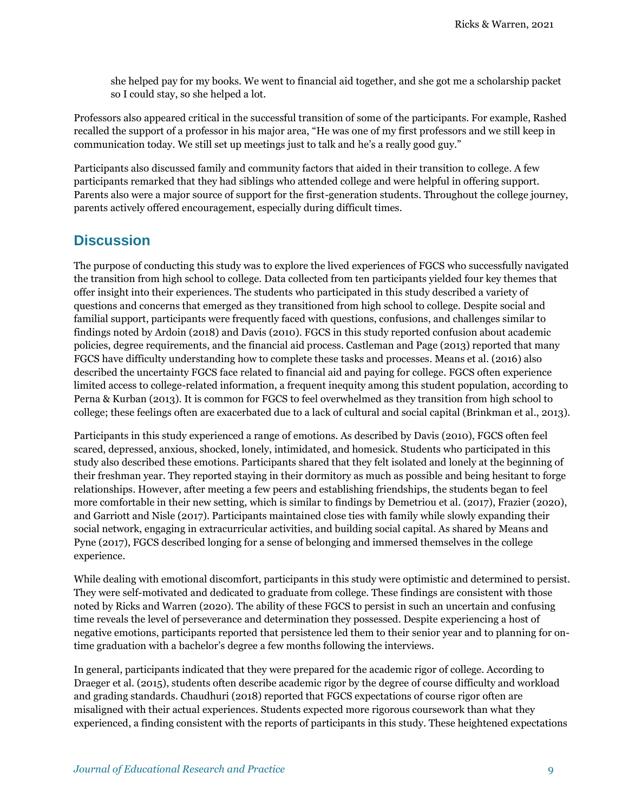she helped pay for my books. We went to financial aid together, and she got me a scholarship packet so I could stay, so she helped a lot.

Professors also appeared critical in the successful transition of some of the participants. For example, Rashed recalled the support of a professor in his major area, "He was one of my first professors and we still keep in communication today. We still set up meetings just to talk and he's a really good guy."

Participants also discussed family and community factors that aided in their transition to college. A few participants remarked that they had siblings who attended college and were helpful in offering support. Parents also were a major source of support for the first-generation students. Throughout the college journey, parents actively offered encouragement, especially during difficult times.

### **Discussion**

The purpose of conducting this study was to explore the lived experiences of FGCS who successfully navigated the transition from high school to college. Data collected from ten participants yielded four key themes that offer insight into their experiences. The students who participated in this study described a variety of questions and concerns that emerged as they transitioned from high school to college. Despite social and familial support, participants were frequently faced with questions, confusions, and challenges similar to findings noted by Ardoin (2018) and Davis (2010). FGCS in this study reported confusion about academic policies, degree requirements, and the financial aid process. Castleman and Page (2013) reported that many FGCS have difficulty understanding how to complete these tasks and processes. Means et al. (2016) also described the uncertainty FGCS face related to financial aid and paying for college. FGCS often experience limited access to college-related information, a frequent inequity among this student population, according to Perna & Kurban (2013). It is common for FGCS to feel overwhelmed as they transition from high school to college; these feelings often are exacerbated due to a lack of cultural and social capital (Brinkman et al., 2013).

Participants in this study experienced a range of emotions. As described by Davis (2010), FGCS often feel scared, depressed, anxious, shocked, lonely, intimidated, and homesick. Students who participated in this study also described these emotions. Participants shared that they felt isolated and lonely at the beginning of their freshman year. They reported staying in their dormitory as much as possible and being hesitant to forge relationships. However, after meeting a few peers and establishing friendships, the students began to feel more comfortable in their new setting, which is similar to findings by Demetriou et al. (2017), Frazier (2020), and Garriott and Nisle (2017). Participants maintained close ties with family while slowly expanding their social network, engaging in extracurricular activities, and building social capital. As shared by Means and Pyne (2017), FGCS described longing for a sense of belonging and immersed themselves in the college experience.

While dealing with emotional discomfort, participants in this study were optimistic and determined to persist. They were self-motivated and dedicated to graduate from college. These findings are consistent with those noted by Ricks and Warren (2020). The ability of these FGCS to persist in such an uncertain and confusing time reveals the level of perseverance and determination they possessed. Despite experiencing a host of negative emotions, participants reported that persistence led them to their senior year and to planning for ontime graduation with a bachelor's degree a few months following the interviews.

In general, participants indicated that they were prepared for the academic rigor of college. According to Draeger et al. (2015), students often describe academic rigor by the degree of course difficulty and workload and grading standards. Chaudhuri (2018) reported that FGCS expectations of course rigor often are misaligned with their actual experiences. Students expected more rigorous coursework than what they experienced, a finding consistent with the reports of participants in this study. These heightened expectations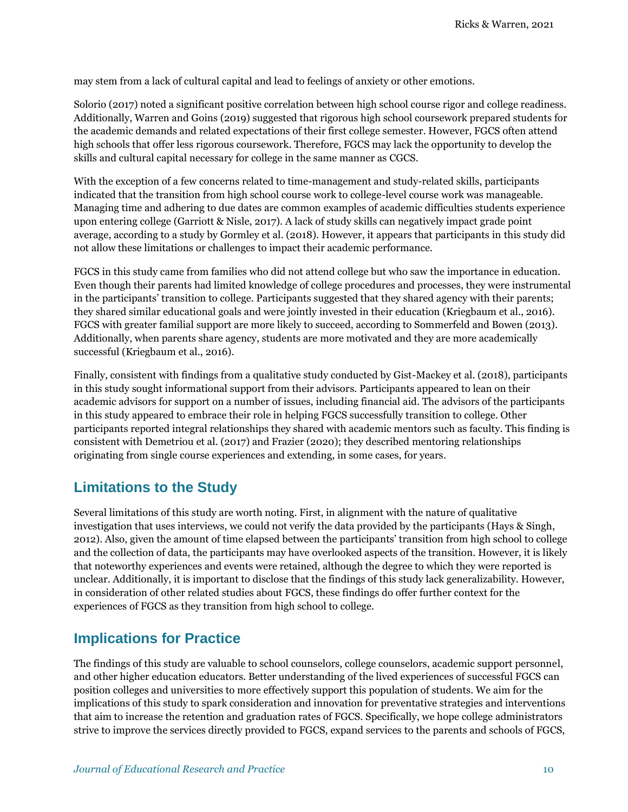may stem from a lack of cultural capital and lead to feelings of anxiety or other emotions.

Solorio (2017) noted a significant positive correlation between high school course rigor and college readiness. Additionally, Warren and Goins (2019) suggested that rigorous high school coursework prepared students for the academic demands and related expectations of their first college semester. However, FGCS often attend high schools that offer less rigorous coursework. Therefore, FGCS may lack the opportunity to develop the skills and cultural capital necessary for college in the same manner as CGCS.

With the exception of a few concerns related to time-management and study-related skills, participants indicated that the transition from high school course work to college-level course work was manageable. Managing time and adhering to due dates are common examples of academic difficulties students experience upon entering college (Garriott & Nisle, 2017). A lack of study skills can negatively impact grade point average, according to a study by Gormley et al. (2018). However, it appears that participants in this study did not allow these limitations or challenges to impact their academic performance.

FGCS in this study came from families who did not attend college but who saw the importance in education. Even though their parents had limited knowledge of college procedures and processes, they were instrumental in the participants' transition to college. Participants suggested that they shared agency with their parents; they shared similar educational goals and were jointly invested in their education (Kriegbaum et al., 2016). FGCS with greater familial support are more likely to succeed, according to Sommerfeld and Bowen (2013). Additionally, when parents share agency, students are more motivated and they are more academically successful (Kriegbaum et al., 2016).

Finally, consistent with findings from a qualitative study conducted by Gist-Mackey et al. (2018), participants in this study sought informational support from their advisors. Participants appeared to lean on their academic advisors for support on a number of issues, including financial aid. The advisors of the participants in this study appeared to embrace their role in helping FGCS successfully transition to college. Other participants reported integral relationships they shared with academic mentors such as faculty. This finding is consistent with Demetriou et al. (2017) and Frazier (2020); they described mentoring relationships originating from single course experiences and extending, in some cases, for years.

### **Limitations to the Study**

Several limitations of this study are worth noting. First, in alignment with the nature of qualitative investigation that uses interviews, we could not verify the data provided by the participants (Hays & Singh, 2012). Also, given the amount of time elapsed between the participants' transition from high school to college and the collection of data, the participants may have overlooked aspects of the transition. However, it is likely that noteworthy experiences and events were retained, although the degree to which they were reported is unclear. Additionally, it is important to disclose that the findings of this study lack generalizability. However, in consideration of other related studies about FGCS, these findings do offer further context for the experiences of FGCS as they transition from high school to college.

### **Implications for Practice**

The findings of this study are valuable to school counselors, college counselors, academic support personnel, and other higher education educators. Better understanding of the lived experiences of successful FGCS can position colleges and universities to more effectively support this population of students. We aim for the implications of this study to spark consideration and innovation for preventative strategies and interventions that aim to increase the retention and graduation rates of FGCS. Specifically, we hope college administrators strive to improve the services directly provided to FGCS, expand services to the parents and schools of FGCS,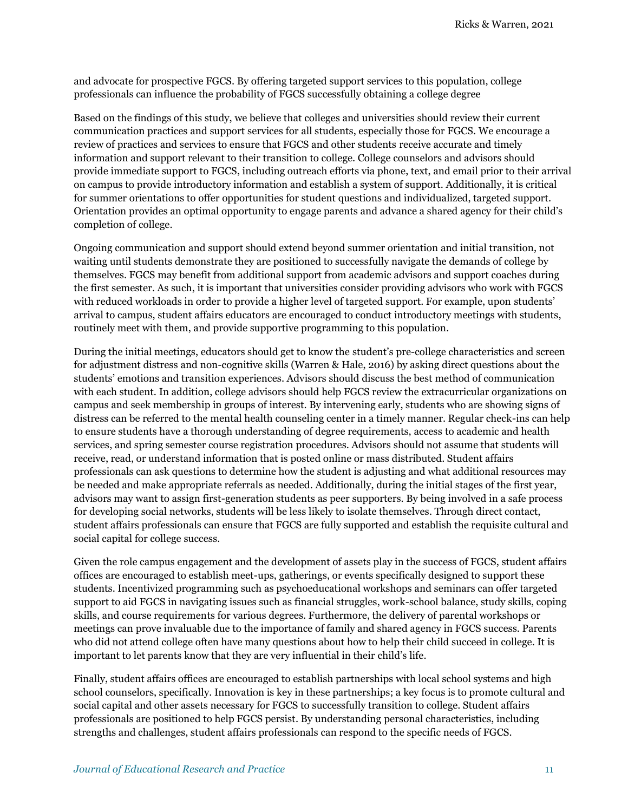and advocate for prospective FGCS. By offering targeted support services to this population, college professionals can influence the probability of FGCS successfully obtaining a college degree

Based on the findings of this study, we believe that colleges and universities should review their current communication practices and support services for all students, especially those for FGCS. We encourage a review of practices and services to ensure that FGCS and other students receive accurate and timely information and support relevant to their transition to college. College counselors and advisors should provide immediate support to FGCS, including outreach efforts via phone, text, and email prior to their arrival on campus to provide introductory information and establish a system of support. Additionally, it is critical for summer orientations to offer opportunities for student questions and individualized, targeted support. Orientation provides an optimal opportunity to engage parents and advance a shared agency for their child's completion of college.

Ongoing communication and support should extend beyond summer orientation and initial transition, not waiting until students demonstrate they are positioned to successfully navigate the demands of college by themselves. FGCS may benefit from additional support from academic advisors and support coaches during the first semester. As such, it is important that universities consider providing advisors who work with FGCS with reduced workloads in order to provide a higher level of targeted support. For example, upon students' arrival to campus, student affairs educators are encouraged to conduct introductory meetings with students, routinely meet with them, and provide supportive programming to this population.

During the initial meetings, educators should get to know the student's pre-college characteristics and screen for adjustment distress and non-cognitive skills (Warren & Hale, 2016) by asking direct questions about the students' emotions and transition experiences. Advisors should discuss the best method of communication with each student. In addition, college advisors should help FGCS review the extracurricular organizations on campus and seek membership in groups of interest. By intervening early, students who are showing signs of distress can be referred to the mental health counseling center in a timely manner. Regular check-ins can help to ensure students have a thorough understanding of degree requirements, access to academic and health services, and spring semester course registration procedures. Advisors should not assume that students will receive, read, or understand information that is posted online or mass distributed. Student affairs professionals can ask questions to determine how the student is adjusting and what additional resources may be needed and make appropriate referrals as needed. Additionally, during the initial stages of the first year, advisors may want to assign first-generation students as peer supporters. By being involved in a safe process for developing social networks, students will be less likely to isolate themselves. Through direct contact, student affairs professionals can ensure that FGCS are fully supported and establish the requisite cultural and social capital for college success.

Given the role campus engagement and the development of assets play in the success of FGCS, student affairs offices are encouraged to establish meet-ups, gatherings, or events specifically designed to support these students. Incentivized programming such as psychoeducational workshops and seminars can offer targeted support to aid FGCS in navigating issues such as financial struggles, work-school balance, study skills, coping skills, and course requirements for various degrees. Furthermore, the delivery of parental workshops or meetings can prove invaluable due to the importance of family and shared agency in FGCS success. Parents who did not attend college often have many questions about how to help their child succeed in college. It is important to let parents know that they are very influential in their child's life.

Finally, student affairs offices are encouraged to establish partnerships with local school systems and high school counselors, specifically. Innovation is key in these partnerships; a key focus is to promote cultural and social capital and other assets necessary for FGCS to successfully transition to college. Student affairs professionals are positioned to help FGCS persist. By understanding personal characteristics, including strengths and challenges, student affairs professionals can respond to the specific needs of FGCS.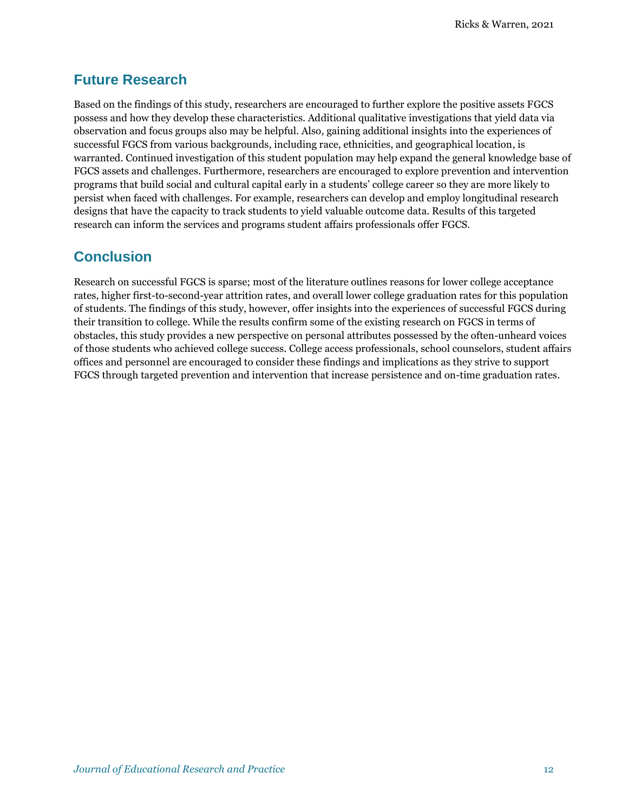## **Future Research**

Based on the findings of this study, researchers are encouraged to further explore the positive assets FGCS possess and how they develop these characteristics. Additional qualitative investigations that yield data via observation and focus groups also may be helpful. Also, gaining additional insights into the experiences of successful FGCS from various backgrounds, including race, ethnicities, and geographical location, is warranted. Continued investigation of this student population may help expand the general knowledge base of FGCS assets and challenges. Furthermore, researchers are encouraged to explore prevention and intervention programs that build social and cultural capital early in a students' college career so they are more likely to persist when faced with challenges. For example, researchers can develop and employ longitudinal research designs that have the capacity to track students to yield valuable outcome data. Results of this targeted research can inform the services and programs student affairs professionals offer FGCS.

# **Conclusion**

Research on successful FGCS is sparse; most of the literature outlines reasons for lower college acceptance rates, higher first-to-second-year attrition rates, and overall lower college graduation rates for this population of students. The findings of this study, however, offer insights into the experiences of successful FGCS during their transition to college. While the results confirm some of the existing research on FGCS in terms of obstacles, this study provides a new perspective on personal attributes possessed by the often-unheard voices of those students who achieved college success. College access professionals, school counselors, student affairs offices and personnel are encouraged to consider these findings and implications as they strive to support FGCS through targeted prevention and intervention that increase persistence and on-time graduation rates.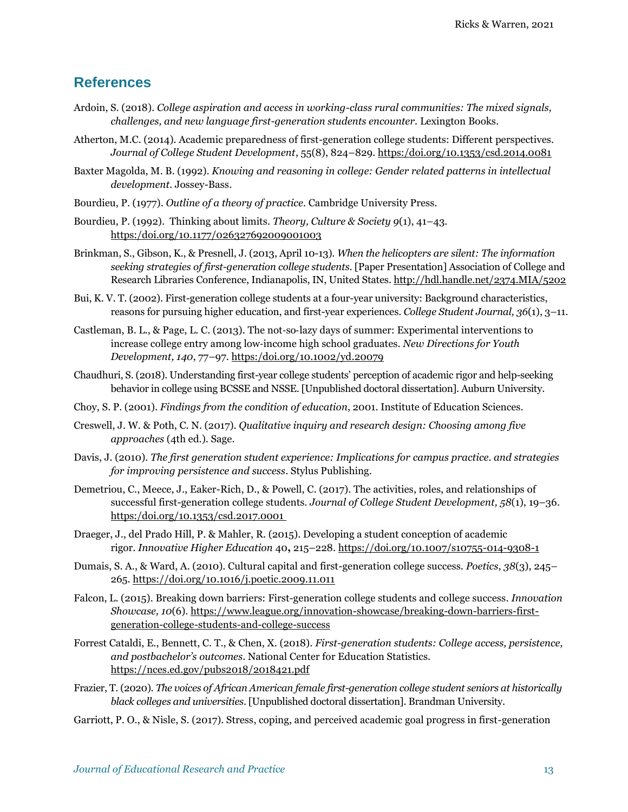### **References**

- Ardoin, S. (2018). *College aspiration and access in working-class rural communities: The mixed signals, challenges, and new language first-generation students encounter.* Lexington Books.
- Atherton, M.C. (2014). Academic preparedness of first-generation college students: Different perspectives. *Journal of College Student Development*, 55(8), 824–829[. https:/doi.org/10.1353/csd.2014.0081](https://doi.org/10.1353/csd.2014.0081)
- Baxter Magolda, M. B. (1992). *Knowing and reasoning in college: Gender related patterns in intellectual development*. Jossey-Bass.
- Bourdieu, P. (1977). *Outline of a theory of practice.* Cambridge University Press.
- Bourdieu, P. (1992). Thinking about limits. *Theory, Culture & Society 9*(1), 41–43. [https:/doi.org/10.1177/026327692009001003](https://doi.org/10.1177/026327692009001003)
- Brinkman, S., Gibson, K., & Presnell, J. (2013, April 10-13). *When the helicopters are silent: The information seeking strategies of first-generation college students*. [Paper Presentation] Association of College and Research Libraries Conference, Indianapolis, IN, United States.<http://hdl.handle.net/2374.MIA/5202>
- Bui, K. V. T. (2002). First-generation college students at a four-year university: Background characteristics, reasons for pursuing higher education, and first-year experiences. *College Student Journal, 36*(1), 3–11.
- Castleman, B. L., & Page, L. C. (2013). The not‐so‐lazy days of summer: Experimental interventions to increase college entry among low‐income high school graduates. *New Directions for Youth Development, 140*, 77–97. [https:/doi.org/10.1002/yd.20079](https://doi.org/10.1002/yd.20079)
- Chaudhuri, S. (2018). Understanding first-year college students' perception of academic rigor and help-seeking behavior in college using BCSSE and NSSE. [Unpublished doctoral dissertation]. Auburn University.
- Choy, S. P. (2001). *Findings from the condition of education*, 2001. Institute of Education Sciences.
- Creswell, J. W. & Poth, C. N. (2017). *Qualitative inquiry and research design: Choosing among five approaches* (4th ed.). Sage.
- Davis, J. (2010). *The first generation student experience: Implications for campus practice. and strategies for improving persistence and success*. Stylus Publishing.
- Demetriou, C., Meece, J., Eaker-Rich, D., & Powell, C. (2017). The activities, roles, and relationships of successful first-generation college students. *Journal of College Student Development, 58*(1), 19–36. [https:/doi.org/10.1353/csd.2017.0001](https://doi.org/10.1353/csd.2017.0001)
- Draeger, J., del Prado Hill, P. & Mahler, R. (2015). Developing a student conception of academic rigor. *Innovative Higher Education* 40**,** 215–228.<https://doi.org/10.1007/s10755-014-9308-1>
- Dumais, S. A., & Ward, A. (2010). Cultural capital and first-generation college success. *Poetics*, *38*(3), 245– 265[. https://doi.org/10.1016/j.poetic.2009.11.011](https://doi.org/10.1016/j.poetic.2009.11.011)
- Falcon, L. (2015). Breaking down barriers: First-generation college students and college success. *Innovation Showcase, 10*(6). [https://www.league.org/innovation-showcase/breaking-down-barriers-first](https://www.league.org/innovation-showcase/breaking-down-barriers-first-generation-college-students-and-college-success)[generation-college-students-and-college-success](https://www.league.org/innovation-showcase/breaking-down-barriers-first-generation-college-students-and-college-success)
- Forrest Cataldi, E., Bennett, C. T., & Chen, X. (2018). *First-generation students: College access, persistence, and postbachelor's outcomes*. National Center for Education Statistics. <https://nces.ed.gov/pubs2018/2018421.pdf>
- Frazier, T. (2020). *The voices of African American female first-generation college student seniors at historically black colleges and universities*. [Unpublished doctoral dissertation]. Brandman University.
- Garriott, P. O., & Nisle, S. (2017). Stress, coping, and perceived academic goal progress in first-generation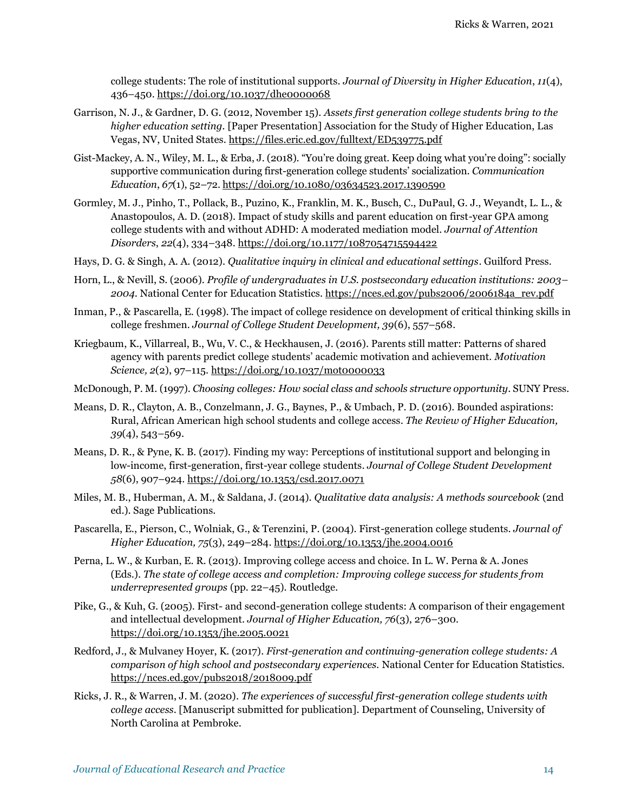college students: The role of institutional supports. *Journal of Diversity in Higher Education*, *11*(4), 436–450[. https://doi.org/10.1037/dhe0000068](https://doi.org/10.1037/dhe0000068)

- Garrison, N. J., & Gardner, D. G. (2012, November 15). *Assets first generation college students bring to the higher education setting.* [Paper Presentation] Association for the Study of Higher Education, Las Vegas, NV, United States.<https://files.eric.ed.gov/fulltext/ED539775.pdf>
- Gist-Mackey, A. N., Wiley, M. L., & Erba, J. (2018). "You're doing great. Keep doing what you're doing": socially supportive communication during first-generation college students' socialization. *Communication Education*, *67*(1), 52–72. <https://doi.org/10.1080/03634523.2017.1390590>
- Gormley, M. J., Pinho, T., Pollack, B., Puzino, K., Franklin, M. K., Busch, C., DuPaul, G. J., Weyandt, L. L., & Anastopoulos, A. D. (2018). Impact of study skills and parent education on first-year GPA among college students with and without ADHD: A moderated mediation model. *Journal of Attention Disorders*, *22*(4), 334–348.<https://doi.org/10.1177/1087054715594422>
- Hays, D. G. & Singh, A. A. (2012). *Qualitative inquiry in clinical and educational settings*. Guilford Press.
- Horn, L., & Nevill, S. (2006). *Profile of undergraduates in U.S. postsecondary education institutions: 2003– 2004*. National Center for Education Statistics. [https://nces.ed.gov/pubs2006/2006184a\\_rev.pdf](https://nces.ed.gov/pubs2006/2006184a_rev.pdf)
- Inman, P., & Pascarella, E. (1998). The impact of college residence on development of critical thinking skills in college freshmen. *Journal of College Student Development, 39*(6), 557–568.
- Kriegbaum, K., Villarreal, B., Wu, V. C., & Heckhausen, J. (2016). Parents still matter: Patterns of shared agency with parents predict college students' academic motivation and achievement. *Motivation Science, 2*(2), 97–115. <https://doi.org/10.1037/mot0000033>
- McDonough, P. M. (1997). *Choosing colleges: How social class and schools structure opportunity*. SUNY Press.
- Means, D. R., Clayton, A. B., Conzelmann, J. G., Baynes, P., & Umbach, P. D. (2016). Bounded aspirations: Rural, African American high school students and college access. *The Review of Higher Education, 39*(4), 543–569.
- Means, D. R., & Pyne, K. B. (2017). Finding my way: Perceptions of institutional support and belonging in low-income, first-generation, first-year college students. *Journal of College Student Development 58*(6), 907–924.<https://doi.org/10.1353/csd.2017.0071>
- Miles, M. B., Huberman, A. M., & Saldana, J. (2014). *Qualitative data analysis: A methods sourcebook* (2nd ed.). Sage Publications.
- Pascarella, E., Pierson, C., Wolniak, G., & Terenzini, P. (2004). First-generation college students. *Journal of Higher Education, 75*(3), 249–284.<https://doi.org/10.1353/jhe.2004.0016>
- Perna, L. W., & Kurban, E. R. (2013). Improving college access and choice. In L. W. Perna & A. Jones (Eds.). *The state of college access and completion: Improving college success for students from underrepresented groups* (pp. 22–45). Routledge.
- Pike, G., & Kuh, G. (2005). First- and second-generation college students: A comparison of their engagement and intellectual development. *Journal of Higher Education, 76*(3), 276–300. <https://doi.org/10.1353/jhe.2005.0021>
- Redford, J., & Mulvaney Hoyer, K. (2017). *First-generation and continuing-generation college students: A comparison of high school and postsecondary experiences.* National Center for Education Statistics. <https://nces.ed.gov/pubs2018/2018009.pdf>
- Ricks, J. R., & Warren, J. M. (2020). *The experiences of successful first-generation college students with college access*. [Manuscript submitted for publication]. Department of Counseling, University of North Carolina at Pembroke.